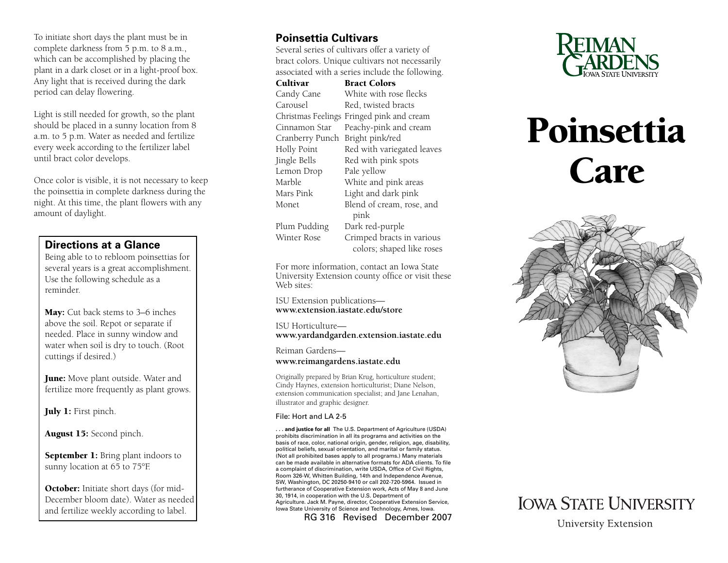To initiate short days the plant must be in complete darkness from 5 p.m. to 8 a.m., which can be accomplished by placing the plant in a dark closet or in a light-proof box. Any light that is received during the dark period can delay flowering.

Light is still needed for growth, so the plant should be placed in a sunny location from 8 a.m. to 5 p.m. Water as needed and fertilize every week according to the fertilizer label until bract color develops.

Once color is visible, it is not necessary to keep the poinsettia in complete darkness during the night. At this time, the plant flowers with any amount of daylight.

#### **Directions at a Glance**

Being able to to rebloom poinsettias for several years is a great accomplishment. Use the following schedule as a reminder.

May: Cut back stems to 3–6 inches above the soil. Repot or separate if needed. Place in sunny window and water when soil is dry to touch. (Root cuttings if desired.)

**June:** Move plant outside. Water and fertilize more frequently as plant grows.

July 1: First pinch.

August 15: Second pinch.

September 1: Bring plant indoors to sunny location at 65 to 75°F.

October: Initiate short days (for mid-December bloom date). Water as needed and fertilize weekly according to label.

## **Poinsettia Cultivars**

Several series of cultivars offer a variety of bract colors. Unique cultivars not necessarily associated with a series include the following.

Cultivar Bract Colors Candy Cane White with rose flecks Carousel Red, twisted bracts Christmas Feelings Fringed pink and cream Cinnamon Star Peachy-pink and cream Cranberry Punch Bright pink/red Holly Point Red with variegated leaves Jingle Bells Red with pink spots Lemon Drop Pale yellow Marble White and pink areas Mars Pink Light and dark pink Monet Blend of cream, rose, and pink Plum Pudding Dark red-purple Winter Rose Crimped bracts in various colors; shaped like roses

For more information, contact an Iowa State University Extension county office or visit these Web sites:

[ISU Extension publications](http://www.extension.iastate.edu/store)  **www.extension.iastate.edu/store**

ISU Horticulture **www.yar[dandgarden.extension.iastate.edu](http://www.yardandgarden.extension.iastate.edu)**

Reiman Gardens—

#### **[www.reimangardens.iastate.edu](http://www.reimangardens.iastate.edu)**

Originally prepared by Brian Krug, horticulture student; Cindy Haynes, extension horticulturist; Diane Nelson, extension communication specialist; and Jane Lenahan, illustrator and graphic designer.

#### File: Hort and LA 2-5

**. . . and justice for all** The U.S. Department of Agriculture (USDA) prohibits discrimination in all its programs and activities on the basis of race, color, national origin, gender, religion, age, disability, political beliefs, sexual orientation, and marital or family status. (Not all prohibited bases apply to all programs.) Many materials can be made available in alternative formats for ADA clients. To file a complaint of discrimination, write USDA, Office of Civil Rights, Room 326-W, Whitten Building, 14th and Independence Avenue, SW, Washington, DC 20250-9410 or call 202-720-5964. Issued in furtherance of Cooperative Extension work, Acts of May 8 and June 30, 1914, in cooperation with the U.S. Department of Agriculture. Jack M. Payne, director, Cooperative Extension Service, Iowa State University of Science and Technology, Ames, Iowa.

RG 316 Revised December 2007



# Poinsettia Care